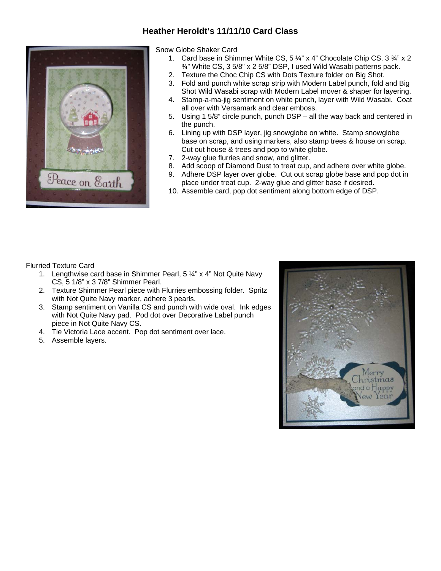## **Heather Heroldt's 11/11/10 Card Class**



Snow Globe Shaker Card

- 1. Card base in Shimmer White CS, 5 ¼" x 4" Chocolate Chip CS, 3 ¾" x 2 ¾" White CS, 3 5/8" x 2 5/8" DSP, I used Wild Wasabi patterns pack.
- 2. Texture the Choc Chip CS with Dots Texture folder on Big Shot.
- 3. Fold and punch white scrap strip with Modern Label punch, fold and Big Shot Wild Wasabi scrap with Modern Label mover & shaper for layering.
- 4. Stamp-a-ma-jig sentiment on white punch, layer with Wild Wasabi. Coat all over with Versamark and clear emboss.
- 5. Using 1 5/8" circle punch, punch DSP all the way back and centered in the punch.
- 6. Lining up with DSP layer, jig snowglobe on white. Stamp snowglobe base on scrap, and using markers, also stamp trees & house on scrap. Cut out house & trees and pop to white globe.
- 7. 2-way glue flurries and snow, and glitter.
- 8. Add scoop of Diamond Dust to treat cup, and adhere over white globe.
- 9. Adhere DSP layer over globe. Cut out scrap globe base and pop dot in place under treat cup. 2-way glue and glitter base if desired.
- 10. Assemble card, pop dot sentiment along bottom edge of DSP.

Flurried Texture Card

- 1. Lengthwise card base in Shimmer Pearl, 5 ¼" x 4" Not Quite Navy CS, 5 1/8" x 3 7/8" Shimmer Pearl.
- 2. Texture Shimmer Pearl piece with Flurries embossing folder. Spritz with Not Quite Navy marker, adhere 3 pearls.
- 3. Stamp sentiment on Vanilla CS and punch with wide oval. Ink edges with Not Quite Navy pad. Pod dot over Decorative Label punch piece in Not Quite Navy CS.
- 4. Tie Victoria Lace accent. Pop dot sentiment over lace.
- 5. Assemble layers.